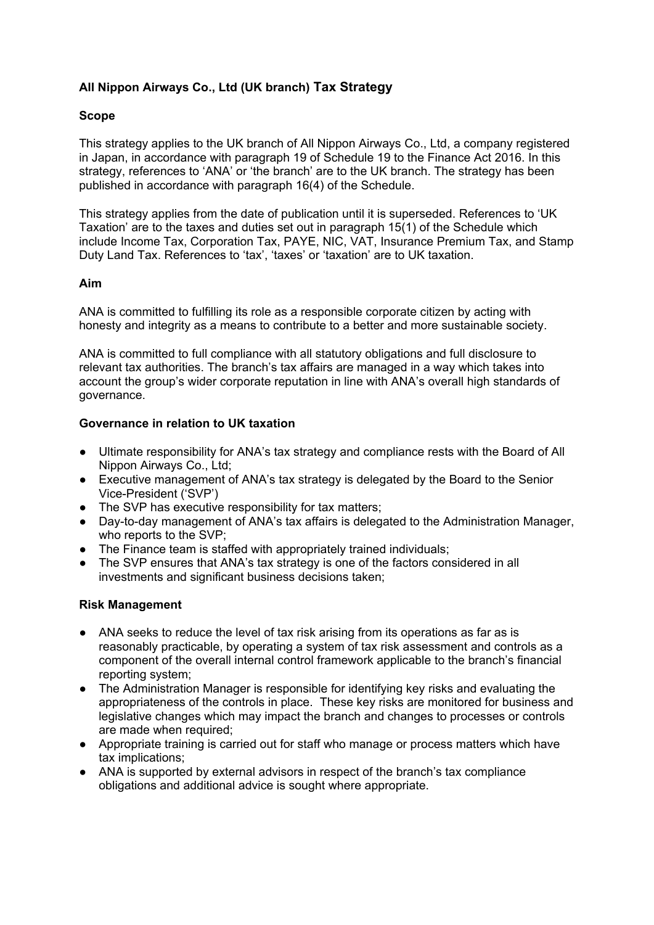# **All Nippon Airways Co., Ltd (UK branch) Tax Strategy**

## **Scope**

This strategy applies to the UK branch of All Nippon Airways Co., Ltd, a company registered in Japan, in accordance with paragraph 19 of Schedule 19 to the Finance Act 2016. In this strategy, references to 'ANA' or 'the branch' are to the UK branch. The strategy has been published in accordance with paragraph 16(4) of the Schedule.

This strategy applies from the date of publication until it is superseded. References to 'UK Taxation' are to the taxes and duties set out in paragraph 15(1) of the Schedule which include Income Tax, Corporation Tax, PAYE, NIC, VAT, Insurance Premium Tax, and Stamp Duty Land Tax. References to 'tax', 'taxes' or 'taxation' are to UK taxation.

### **Aim**

ANA is committed to fulfilling its role as a responsible corporate citizen by acting with honesty and integrity as a means to contribute to a better and more sustainable society.

ANA is committed to full compliance with all statutory obligations and full disclosure to relevant tax authorities. The branch's tax affairs are managed in a way which takes into account the group's wider corporate reputation in line with ANA's overall high standards of governance.

### **Governance in relation to UK taxation**

- Ultimate responsibility for ANA's tax strategy and compliance rests with the Board of All Nippon Airways Co., Ltd;
- Executive management of ANA's tax strategy is delegated by the Board to the Senior Vice-President ('SVP')
- The SVP has executive responsibility for tax matters;
- Day-to-day management of ANA's tax affairs is delegated to the Administration Manager, who reports to the SVP;
- The Finance team is staffed with appropriately trained individuals;
- The SVP ensures that ANA's tax strategy is one of the factors considered in all investments and significant business decisions taken:

### **Risk Management**

- ANA seeks to reduce the level of tax risk arising from its operations as far as is reasonably practicable, by operating a system of tax risk assessment and controls as a component of the overall internal control framework applicable to the branch's financial reporting system;
- The Administration Manager is responsible for identifying key risks and evaluating the appropriateness of the controls in place. These key risks are monitored for business and legislative changes which may impact the branch and changes to processes or controls are made when required;
- Appropriate training is carried out for staff who manage or process matters which have tax implications;
- ANA is supported by external advisors in respect of the branch's tax compliance obligations and additional advice is sought where appropriate.